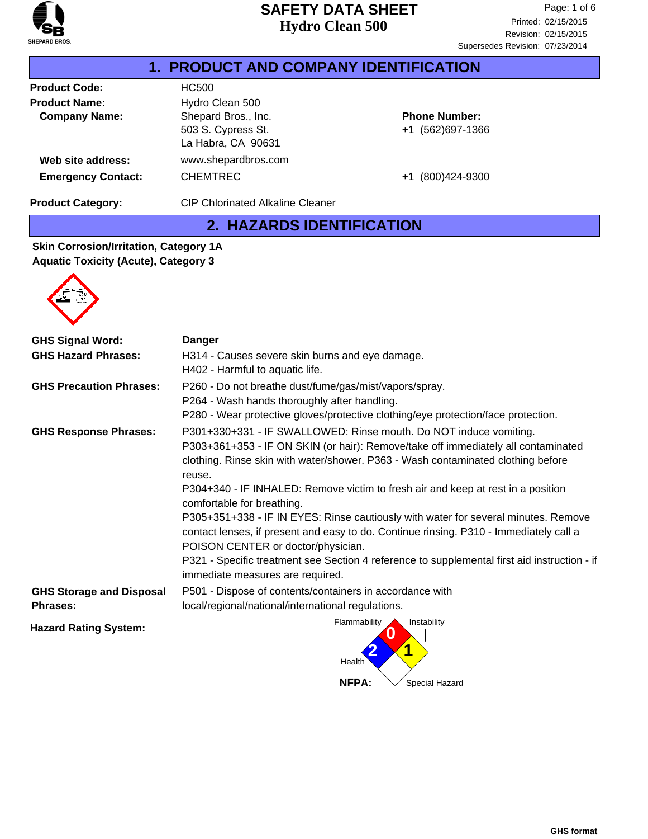

|                           | <b>1. PRODUCT AND COMPANY IDENTIFICATION</b>                    |                                          |  |
|---------------------------|-----------------------------------------------------------------|------------------------------------------|--|
| <b>Product Code:</b>      | HC500                                                           |                                          |  |
| <b>Product Name:</b>      | Hydro Clean 500                                                 |                                          |  |
| <b>Company Name:</b>      | Shepard Bros., Inc.<br>503 S. Cypress St.<br>La Habra, CA 90631 | <b>Phone Number:</b><br>+1 (562)697-1366 |  |
| Web site address:         | www.shepardbros.com                                             |                                          |  |
| <b>Emergency Contact:</b> | <b>CHEMTREC</b>                                                 | +1 (800)424-9300                         |  |
| <b>Product Category:</b>  | <b>CIP Chlorinated Alkaline Cleaner</b>                         |                                          |  |

## **2. HAZARDS IDENTIFICATION**

#### **Skin Corrosion/Irritation, Category 1A Aquatic Toxicity (Acute), Category 3**



| <b>GHS Signal Word:</b>                            | <b>Danger</b>                                                                                                                                                                                                                                                                                                                                                                                                                                                                                                                                                                                                                                                                                                                    |  |
|----------------------------------------------------|----------------------------------------------------------------------------------------------------------------------------------------------------------------------------------------------------------------------------------------------------------------------------------------------------------------------------------------------------------------------------------------------------------------------------------------------------------------------------------------------------------------------------------------------------------------------------------------------------------------------------------------------------------------------------------------------------------------------------------|--|
| <b>GHS Hazard Phrases:</b>                         | H314 - Causes severe skin burns and eye damage.<br>H402 - Harmful to aquatic life.                                                                                                                                                                                                                                                                                                                                                                                                                                                                                                                                                                                                                                               |  |
| <b>GHS Precaution Phrases:</b>                     | P260 - Do not breathe dust/fume/gas/mist/vapors/spray.<br>P264 - Wash hands thoroughly after handling.<br>P280 - Wear protective gloves/protective clothing/eye protection/face protection.                                                                                                                                                                                                                                                                                                                                                                                                                                                                                                                                      |  |
| <b>GHS Response Phrases:</b>                       | P301+330+331 - IF SWALLOWED: Rinse mouth. Do NOT induce vomiting.<br>P303+361+353 - IF ON SKIN (or hair): Remove/take off immediately all contaminated<br>clothing. Rinse skin with water/shower. P363 - Wash contaminated clothing before<br>reuse.<br>P304+340 - IF INHALED: Remove victim to fresh air and keep at rest in a position<br>comfortable for breathing.<br>P305+351+338 - IF IN EYES: Rinse cautiously with water for several minutes. Remove<br>contact lenses, if present and easy to do. Continue rinsing. P310 - Immediately call a<br>POISON CENTER or doctor/physician.<br>P321 - Specific treatment see Section 4 reference to supplemental first aid instruction - if<br>immediate measures are required. |  |
| <b>GHS Storage and Disposal</b><br><b>Phrases:</b> | P501 - Dispose of contents/containers in accordance with<br>local/regional/national/international regulations.                                                                                                                                                                                                                                                                                                                                                                                                                                                                                                                                                                                                                   |  |
| <b>Hazard Rating System:</b>                       | Flammability<br>Instability<br>Health                                                                                                                                                                                                                                                                                                                                                                                                                                                                                                                                                                                                                                                                                            |  |

**NFPA:**

Special Hazard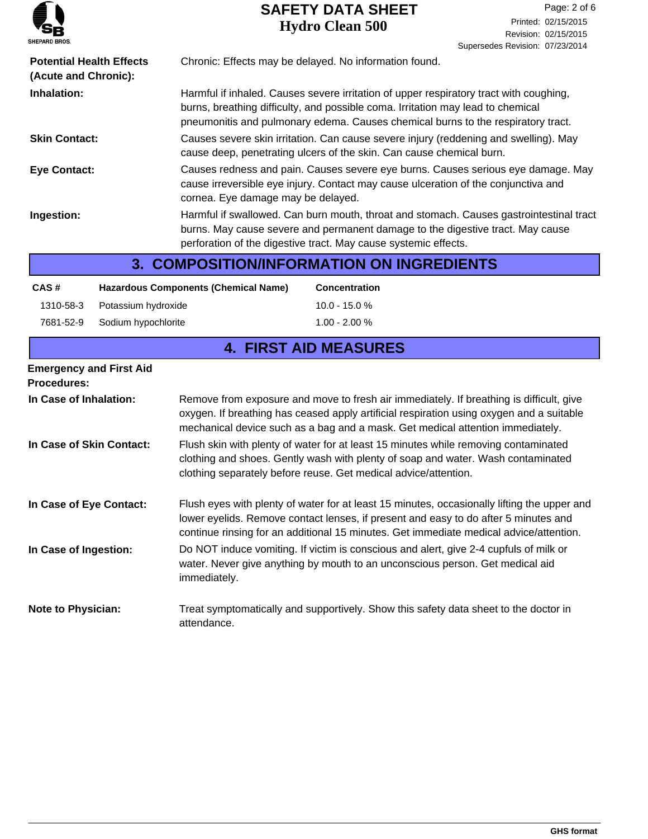

| <b>Potential Health Effects</b><br>(Acute and Chronic): |                     | Chronic: Effects may be delayed. No information found. |                                                                                                                                                                                                                                                                              |
|---------------------------------------------------------|---------------------|--------------------------------------------------------|------------------------------------------------------------------------------------------------------------------------------------------------------------------------------------------------------------------------------------------------------------------------------|
| Inhalation:                                             |                     |                                                        | Harmful if inhaled. Causes severe irritation of upper respiratory tract with coughing,<br>burns, breathing difficulty, and possible coma. Irritation may lead to chemical<br>pneumonitis and pulmonary edema. Causes chemical burns to the respiratory tract.                |
| <b>Skin Contact:</b>                                    |                     |                                                        | Causes severe skin irritation. Can cause severe injury (reddening and swelling). May<br>cause deep, penetrating ulcers of the skin. Can cause chemical burn.                                                                                                                 |
| <b>Eye Contact:</b>                                     |                     | cornea. Eye damage may be delayed.                     | Causes redness and pain. Causes severe eye burns. Causes serious eye damage. May<br>cause irreversible eye injury. Contact may cause ulceration of the conjunctiva and                                                                                                       |
| Ingestion:                                              |                     |                                                        | Harmful if swallowed. Can burn mouth, throat and stomach. Causes gastrointestinal tract<br>burns. May cause severe and permanent damage to the digestive tract. May cause<br>perforation of the digestive tract. May cause systemic effects.                                 |
|                                                         |                     |                                                        | <b>3. COMPOSITION/INFORMATION ON INGREDIENTS</b>                                                                                                                                                                                                                             |
| CAS#                                                    |                     | <b>Hazardous Components (Chemical Name)</b>            | <b>Concentration</b>                                                                                                                                                                                                                                                         |
| 1310-58-3                                               | Potassium hydroxide |                                                        | $10.0 - 15.0 %$                                                                                                                                                                                                                                                              |
| 7681-52-9                                               | Sodium hypochlorite |                                                        | $1.00 - 2.00 %$                                                                                                                                                                                                                                                              |
| <b>4. FIRST AID MEASURES</b>                            |                     |                                                        |                                                                                                                                                                                                                                                                              |
| <b>Emergency and First Aid</b><br><b>Procedures:</b>    |                     |                                                        |                                                                                                                                                                                                                                                                              |
| In Case of Inhalation:                                  |                     |                                                        | Remove from exposure and move to fresh air immediately. If breathing is difficult, give<br>oxygen. If breathing has ceased apply artificial respiration using oxygen and a suitable<br>mechanical device such as a bag and a mask. Get medical attention immediately.        |
| In Case of Skin Contact:                                |                     |                                                        | Flush skin with plenty of water for at least 15 minutes while removing contaminated<br>clothing and shoes. Gently wash with plenty of soap and water. Wash contaminated<br>clothing separately before reuse. Get medical advice/attention.                                   |
| In Case of Eye Contact:                                 |                     |                                                        | Flush eyes with plenty of water for at least 15 minutes, occasionally lifting the upper and<br>lower eyelids. Remove contact lenses, if present and easy to do after 5 minutes and<br>continue rinsing for an additional 15 minutes. Get immediate medical advice/attention. |
| In Case of Ingestion:                                   |                     | immediately.                                           | Do NOT induce vomiting. If victim is conscious and alert, give 2-4 cupfuls of milk or<br>water. Never give anything by mouth to an unconscious person. Get medical aid                                                                                                       |
| <b>Note to Physician:</b>                               |                     | attendance.                                            | Treat symptomatically and supportively. Show this safety data sheet to the doctor in                                                                                                                                                                                         |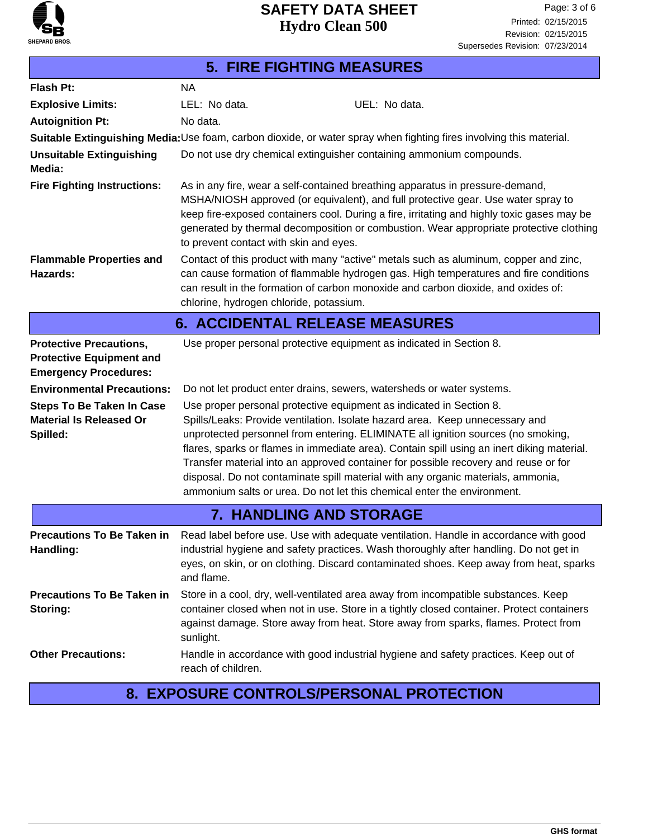

# **5. FIRE FIGHTING MEASURES**

| <b>Flash Pt:</b>                                                                                  | <b>NA</b>                                                                                                                                                                                                                                                                                                                                                                                            |                                                                                                                                                                                                                                                                                                                                                                                                                                                                                                                                                                                             |  |
|---------------------------------------------------------------------------------------------------|------------------------------------------------------------------------------------------------------------------------------------------------------------------------------------------------------------------------------------------------------------------------------------------------------------------------------------------------------------------------------------------------------|---------------------------------------------------------------------------------------------------------------------------------------------------------------------------------------------------------------------------------------------------------------------------------------------------------------------------------------------------------------------------------------------------------------------------------------------------------------------------------------------------------------------------------------------------------------------------------------------|--|
| <b>Explosive Limits:</b>                                                                          | LEL: No data.                                                                                                                                                                                                                                                                                                                                                                                        | UEL: No data.                                                                                                                                                                                                                                                                                                                                                                                                                                                                                                                                                                               |  |
| <b>Autoignition Pt:</b>                                                                           | No data.                                                                                                                                                                                                                                                                                                                                                                                             |                                                                                                                                                                                                                                                                                                                                                                                                                                                                                                                                                                                             |  |
|                                                                                                   | Suitable Extinguishing Media: Use foam, carbon dioxide, or water spray when fighting fires involving this material.                                                                                                                                                                                                                                                                                  |                                                                                                                                                                                                                                                                                                                                                                                                                                                                                                                                                                                             |  |
| <b>Unsuitable Extinguishing</b><br>Media:                                                         | Do not use dry chemical extinguisher containing ammonium compounds.                                                                                                                                                                                                                                                                                                                                  |                                                                                                                                                                                                                                                                                                                                                                                                                                                                                                                                                                                             |  |
| <b>Fire Fighting Instructions:</b>                                                                | As in any fire, wear a self-contained breathing apparatus in pressure-demand,<br>MSHA/NIOSH approved (or equivalent), and full protective gear. Use water spray to<br>keep fire-exposed containers cool. During a fire, irritating and highly toxic gases may be<br>generated by thermal decomposition or combustion. Wear appropriate protective clothing<br>to prevent contact with skin and eyes. |                                                                                                                                                                                                                                                                                                                                                                                                                                                                                                                                                                                             |  |
| <b>Flammable Properties and</b><br>Hazards:                                                       | Contact of this product with many "active" metals such as aluminum, copper and zinc,<br>can cause formation of flammable hydrogen gas. High temperatures and fire conditions<br>can result in the formation of carbon monoxide and carbon dioxide, and oxides of:<br>chlorine, hydrogen chloride, potassium.                                                                                         |                                                                                                                                                                                                                                                                                                                                                                                                                                                                                                                                                                                             |  |
| <b>6. ACCIDENTAL RELEASE MEASURES</b>                                                             |                                                                                                                                                                                                                                                                                                                                                                                                      |                                                                                                                                                                                                                                                                                                                                                                                                                                                                                                                                                                                             |  |
| <b>Protective Precautions,</b><br><b>Protective Equipment and</b><br><b>Emergency Procedures:</b> |                                                                                                                                                                                                                                                                                                                                                                                                      | Use proper personal protective equipment as indicated in Section 8.                                                                                                                                                                                                                                                                                                                                                                                                                                                                                                                         |  |
| <b>Environmental Precautions:</b>                                                                 |                                                                                                                                                                                                                                                                                                                                                                                                      | Do not let product enter drains, sewers, watersheds or water systems.                                                                                                                                                                                                                                                                                                                                                                                                                                                                                                                       |  |
| <b>Steps To Be Taken In Case</b><br><b>Material Is Released Or</b><br>Spilled:                    |                                                                                                                                                                                                                                                                                                                                                                                                      | Use proper personal protective equipment as indicated in Section 8.<br>Spills/Leaks: Provide ventilation. Isolate hazard area. Keep unnecessary and<br>unprotected personnel from entering. ELIMINATE all ignition sources (no smoking,<br>flares, sparks or flames in immediate area). Contain spill using an inert diking material.<br>Transfer material into an approved container for possible recovery and reuse or for<br>disposal. Do not contaminate spill material with any organic materials, ammonia,<br>ammonium salts or urea. Do not let this chemical enter the environment. |  |
| <b>7. HANDLING AND STORAGE</b>                                                                    |                                                                                                                                                                                                                                                                                                                                                                                                      |                                                                                                                                                                                                                                                                                                                                                                                                                                                                                                                                                                                             |  |
| <b>Precautions To Be Taken in</b><br>Handling:                                                    | and flame.                                                                                                                                                                                                                                                                                                                                                                                           | Read label before use. Use with adequate ventilation. Handle in accordance with good<br>industrial hygiene and safety practices. Wash thoroughly after handling. Do not get in<br>eyes, on skin, or on clothing. Discard contaminated shoes. Keep away from heat, sparks                                                                                                                                                                                                                                                                                                                    |  |
| <b>Precautions To Be Taken in</b><br>Storing:                                                     | sunlight.                                                                                                                                                                                                                                                                                                                                                                                            | Store in a cool, dry, well-ventilated area away from incompatible substances. Keep<br>container closed when not in use. Store in a tightly closed container. Protect containers<br>against damage. Store away from heat. Store away from sparks, flames. Protect from                                                                                                                                                                                                                                                                                                                       |  |
| <b>Other Precautions:</b>                                                                         | reach of children.                                                                                                                                                                                                                                                                                                                                                                                   | Handle in accordance with good industrial hygiene and safety practices. Keep out of                                                                                                                                                                                                                                                                                                                                                                                                                                                                                                         |  |

### **8. EXPOSURE CONTROLS/PERSONAL PROTECTION**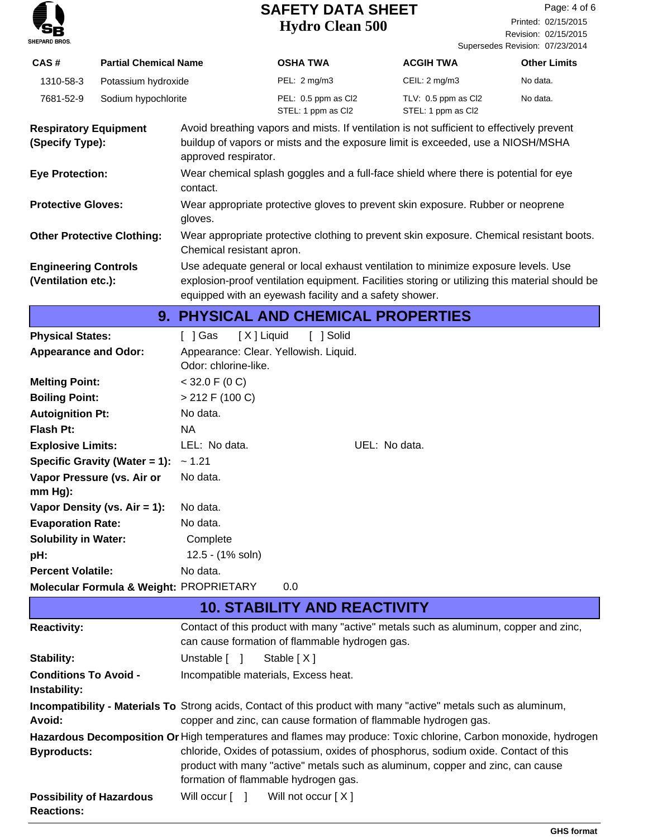

Revision: 02/15/2015 Printed: 02/15/2015 Page: 4 of 6

|                                                    |                                   |                                         |                                                                                                  |                                                                                                                                                                                      | Supersedes Revision: 07/23/2014 |  |
|----------------------------------------------------|-----------------------------------|-----------------------------------------|--------------------------------------------------------------------------------------------------|--------------------------------------------------------------------------------------------------------------------------------------------------------------------------------------|---------------------------------|--|
| CAS#                                               | <b>Partial Chemical Name</b>      |                                         | <b>OSHA TWA</b>                                                                                  | <b>ACGIH TWA</b>                                                                                                                                                                     | <b>Other Limits</b>             |  |
| 1310-58-3                                          | Potassium hydroxide               |                                         | PEL: 2 mg/m3                                                                                     | CEIL: 2 mg/m3                                                                                                                                                                        | No data.                        |  |
| 7681-52-9                                          | Sodium hypochlorite               |                                         | PEL: 0.5 ppm as Cl2<br>STEL: 1 ppm as Cl2                                                        | TLV: 0.5 ppm as Cl2<br>STEL: 1 ppm as Cl2                                                                                                                                            | No data.                        |  |
| <b>Respiratory Equipment</b><br>(Specify Type):    |                                   | approved respirator.                    |                                                                                                  | Avoid breathing vapors and mists. If ventilation is not sufficient to effectively prevent<br>buildup of vapors or mists and the exposure limit is exceeded, use a NIOSH/MSHA         |                                 |  |
|                                                    | <b>Eye Protection:</b>            |                                         | Wear chemical splash goggles and a full-face shield where there is potential for eye<br>contact. |                                                                                                                                                                                      |                                 |  |
| <b>Protective Gloves:</b>                          |                                   | gloves.                                 |                                                                                                  | Wear appropriate protective gloves to prevent skin exposure. Rubber or neoprene                                                                                                      |                                 |  |
|                                                    | <b>Other Protective Clothing:</b> | Chemical resistant apron.               |                                                                                                  | Wear appropriate protective clothing to prevent skin exposure. Chemical resistant boots.                                                                                             |                                 |  |
| <b>Engineering Controls</b><br>(Ventilation etc.): |                                   |                                         | equipped with an eyewash facility and a safety shower.                                           | Use adequate general or local exhaust ventilation to minimize exposure levels. Use<br>explosion-proof ventilation equipment. Facilities storing or utilizing this material should be |                                 |  |
|                                                    |                                   |                                         | 9. PHYSICAL AND CHEMICAL PROPERTIES                                                              |                                                                                                                                                                                      |                                 |  |
| <b>Physical States:</b>                            |                                   | [ ] Gas                                 | [X] Liquid<br>[ ] Solid                                                                          |                                                                                                                                                                                      |                                 |  |
| <b>Appearance and Odor:</b>                        |                                   | Odor: chlorine-like.                    | Appearance: Clear. Yellowish. Liquid.                                                            |                                                                                                                                                                                      |                                 |  |
| <b>Melting Point:</b>                              |                                   | $<$ 32.0 F (0 C)                        |                                                                                                  |                                                                                                                                                                                      |                                 |  |
| <b>Boiling Point:</b>                              |                                   | $> 212$ F (100 C)                       |                                                                                                  |                                                                                                                                                                                      |                                 |  |
| <b>Autoignition Pt:</b>                            |                                   | No data.                                |                                                                                                  |                                                                                                                                                                                      |                                 |  |
| <b>Flash Pt:</b>                                   |                                   | NA                                      |                                                                                                  |                                                                                                                                                                                      |                                 |  |
| <b>Explosive Limits:</b>                           |                                   | LEL: No data.                           |                                                                                                  | UEL: No data.                                                                                                                                                                        |                                 |  |
|                                                    | Specific Gravity (Water = 1):     | ~1.21                                   |                                                                                                  |                                                                                                                                                                                      |                                 |  |
| $mm Hg$ ):                                         | Vapor Pressure (vs. Air or        | No data.                                |                                                                                                  |                                                                                                                                                                                      |                                 |  |
|                                                    | Vapor Density (vs. $Air = 1$ ):   | No data.                                |                                                                                                  |                                                                                                                                                                                      |                                 |  |
| <b>Evaporation Rate:</b>                           |                                   | No data.                                |                                                                                                  |                                                                                                                                                                                      |                                 |  |
| <b>Solubility in Water:</b>                        |                                   | Complete                                |                                                                                                  |                                                                                                                                                                                      |                                 |  |
| pH:                                                |                                   | 12.5 - (1% soln)                        |                                                                                                  |                                                                                                                                                                                      |                                 |  |
| <b>Percent Volatile:</b>                           |                                   | No data.                                |                                                                                                  |                                                                                                                                                                                      |                                 |  |
|                                                    |                                   | Molecular Formula & Weight: PROPRIETARY | 0.0                                                                                              |                                                                                                                                                                                      |                                 |  |
|                                                    |                                   |                                         | <b>10. STABILITY AND REACTIVITY</b>                                                              |                                                                                                                                                                                      |                                 |  |
| <b>Reactivity:</b>                                 |                                   |                                         |                                                                                                  | Contact of this product with many "active" metals such as aluminum, copper and zinc,                                                                                                 |                                 |  |

| <b>Reactivity:</b>                                   | Contact of this product with many "active" metals such as aluminum, copper and zinc,<br>can cause formation of flammable hydrogen gas.                                                                       |
|------------------------------------------------------|--------------------------------------------------------------------------------------------------------------------------------------------------------------------------------------------------------------|
| <b>Stability:</b>                                    | Unstable [ ]<br>Stable $[X]$                                                                                                                                                                                 |
| <b>Conditions To Avoid -</b><br>Instability:         | Incompatible materials, Excess heat.                                                                                                                                                                         |
| Avoid:                                               | Incompatibility - Materials To Strong acids, Contact of this product with many "active" metals such as aluminum,<br>copper and zinc, can cause formation of flammable hydrogen gas.                          |
|                                                      | Hazardous Decomposition Or High temperatures and flames may produce: Toxic chlorine, Carbon monoxide, hydrogen                                                                                               |
| <b>Byproducts:</b>                                   | chloride, Oxides of potassium, oxides of phosphorus, sodium oxide. Contact of this<br>product with many "active" metals such as aluminum, copper and zinc, can cause<br>formation of flammable hydrogen gas. |
| <b>Possibility of Hazardous</b><br><b>Reactions:</b> | Will occur $\begin{bmatrix} 1 \\ 1 \end{bmatrix}$ Will not occur $[X]$                                                                                                                                       |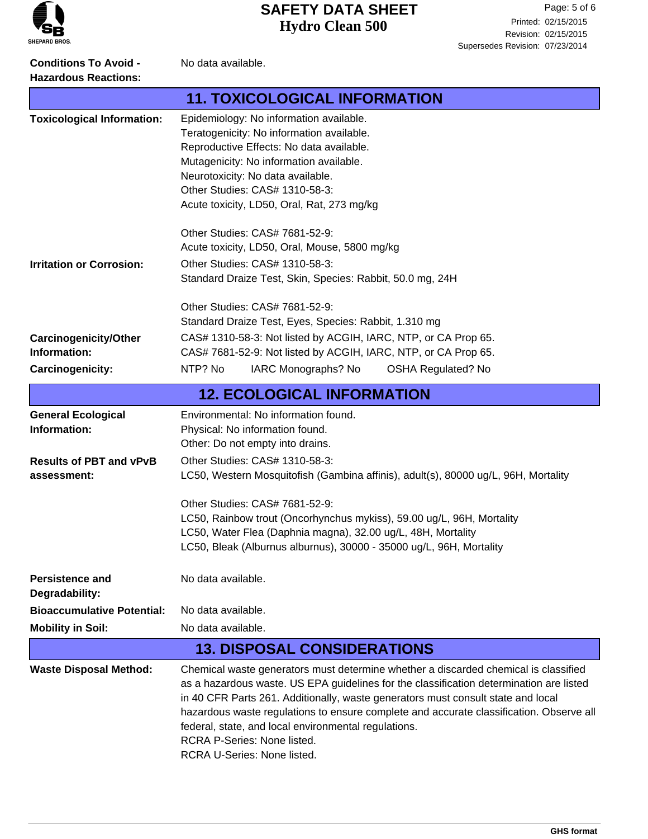

**Conditions To Avoid -** No data available. **Hazardous Reactions:**

|                                              | <b>11. TOXICOLOGICAL INFORMATION</b>                                                                                                                                                                                                                                                                                                                                                                                                                                                |  |
|----------------------------------------------|-------------------------------------------------------------------------------------------------------------------------------------------------------------------------------------------------------------------------------------------------------------------------------------------------------------------------------------------------------------------------------------------------------------------------------------------------------------------------------------|--|
| <b>Toxicological Information:</b>            | Epidemiology: No information available.<br>Teratogenicity: No information available.<br>Reproductive Effects: No data available.<br>Mutagenicity: No information available.<br>Neurotoxicity: No data available.<br>Other Studies: CAS# 1310-58-3:<br>Acute toxicity, LD50, Oral, Rat, 273 mg/kg                                                                                                                                                                                    |  |
|                                              | Other Studies: CAS# 7681-52-9:                                                                                                                                                                                                                                                                                                                                                                                                                                                      |  |
|                                              | Acute toxicity, LD50, Oral, Mouse, 5800 mg/kg                                                                                                                                                                                                                                                                                                                                                                                                                                       |  |
| <b>Irritation or Corrosion:</b>              | Other Studies: CAS# 1310-58-3:<br>Standard Draize Test, Skin, Species: Rabbit, 50.0 mg, 24H                                                                                                                                                                                                                                                                                                                                                                                         |  |
|                                              | Other Studies: CAS# 7681-52-9:                                                                                                                                                                                                                                                                                                                                                                                                                                                      |  |
|                                              | Standard Draize Test, Eyes, Species: Rabbit, 1.310 mg                                                                                                                                                                                                                                                                                                                                                                                                                               |  |
| <b>Carcinogenicity/Other</b><br>Information: | CAS# 1310-58-3: Not listed by ACGIH, IARC, NTP, or CA Prop 65.<br>CAS# 7681-52-9: Not listed by ACGIH, IARC, NTP, or CA Prop 65.                                                                                                                                                                                                                                                                                                                                                    |  |
| Carcinogenicity:                             | NTP? No<br>IARC Monographs? No<br><b>OSHA Regulated? No</b>                                                                                                                                                                                                                                                                                                                                                                                                                         |  |
|                                              | <b>12. ECOLOGICAL INFORMATION</b>                                                                                                                                                                                                                                                                                                                                                                                                                                                   |  |
| <b>General Ecological</b><br>Information:    | Environmental: No information found.<br>Physical: No information found.<br>Other: Do not empty into drains.                                                                                                                                                                                                                                                                                                                                                                         |  |
| <b>Results of PBT and vPvB</b>               | Other Studies: CAS# 1310-58-3:                                                                                                                                                                                                                                                                                                                                                                                                                                                      |  |
| assessment:                                  | LC50, Western Mosquitofish (Gambina affinis), adult(s), 80000 ug/L, 96H, Mortality                                                                                                                                                                                                                                                                                                                                                                                                  |  |
|                                              | Other Studies: CAS# 7681-52-9:                                                                                                                                                                                                                                                                                                                                                                                                                                                      |  |
|                                              | LC50, Rainbow trout (Oncorhynchus mykiss), 59.00 ug/L, 96H, Mortality                                                                                                                                                                                                                                                                                                                                                                                                               |  |
|                                              | LC50, Water Flea (Daphnia magna), 32.00 ug/L, 48H, Mortality                                                                                                                                                                                                                                                                                                                                                                                                                        |  |
|                                              | LC50, Bleak (Alburnus alburnus), 30000 - 35000 ug/L, 96H, Mortality                                                                                                                                                                                                                                                                                                                                                                                                                 |  |
| <b>Persistence and</b><br>Degradability:     | No data available.                                                                                                                                                                                                                                                                                                                                                                                                                                                                  |  |
| <b>Bioaccumulative Potential:</b>            | No data available.                                                                                                                                                                                                                                                                                                                                                                                                                                                                  |  |
| <b>Mobility in Soil:</b>                     | No data available.                                                                                                                                                                                                                                                                                                                                                                                                                                                                  |  |
|                                              | <b>13. DISPOSAL CONSIDERATIONS</b>                                                                                                                                                                                                                                                                                                                                                                                                                                                  |  |
| <b>Waste Disposal Method:</b>                | Chemical waste generators must determine whether a discarded chemical is classified<br>as a hazardous waste. US EPA guidelines for the classification determination are listed<br>in 40 CFR Parts 261. Additionally, waste generators must consult state and local<br>hazardous waste regulations to ensure complete and accurate classification. Observe all<br>federal, state, and local environmental regulations.<br>RCRA P-Series: None listed.<br>RCRA U-Series: None listed. |  |